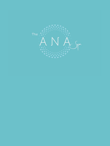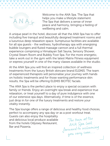

Welcome to the ANA Spa. The Spa that helps you make a lifestyle statement. The Spa that delivers a sense of inner peace and harmony, bringing a feeling of wellbeing and calm.

A unique pearl in the hotel, discover all that the ANA Spa has to offer including five tranquil and beautifully designed treatment rooms and a luxurious deep relaxation space. Sumptuous facilities are available for all spa guests - the wellness, hydrotherapy spa with energising bubble loungers and fluted massage cannon and a full thermal experience comprising a Himalayan Salt Sauna, Sensory Shower, Crystal Steam Room and Bubbly Foot Spa. For the more energetic, take a work out in the gym with the latest Matrix Fitness equipment or express yourself in one of the many classes available in the studio.

At the ANA Spa you will find an inspired collection of wellness treatments from the luxury British skincare brand ELEMIS. The team of experienced therapists will personalise your journey with hands on holistic treatments and for those wanting performance skin results, the Spa will be offering ELEMIS BIOTEC facials.

The ANA Spa is the perfect place to enjoy a special occasion with family or friends. Enjoy an overnight spa break and experience true relaxation, or treat yourself to a day of pure indulgence with one of our extensive spa days. Alternatively, if time is of the essence, just drop in for one of the luxury treatments and restore your vitality instantly.

The Spa lounge offers a range of delicious and healthy food choices, perfect to accompany any spa day or as a post workout treat.

Guests can also enjoy the hospitality and delicious local produce available from the hotels Odyssey Restaurant, Bar and Pizzeria.

The team at the ANA Spa look forward to welcoming you very soon...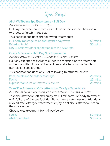Spa Days

#### ANA Wellbeing Spa Experience - Full Day Available between 10.30am - 5.00pm

Full day spa experience includes full use of the spa facilities and a two-course lunch in the spa.

This package includes the following treatments:

Full body massage or an indulgent body wrap 50 mins Relaxing facial 60 mins and 10 mins and 10 mins and 10 mins and 10 mins and 10 mins and 10 mins and 10 mins and 10 mins and 10 mins and 10 mins and 10 mins and 10 mins and 10 mins and 10 mins and 10 mins and 10 mins and 10 £10 ELEMIS voucher redeemable in the ANA Spa.

Grace & Favour - Half Day Spa Experience Available between 10.00am - 2.00pm or 12.00pm - 5.00pm

Half day experience includes either the morning or the afternoon at the spa with full use of the facilities and a two-course lunch in our relaxing spa lounge.

This package includes any 2 of following treatments below:

| Back, Neck and Shoulder Massage             | 25 mins |
|---------------------------------------------|---------|
| Facial                                      | 25 mins |
| <b>Express Manicure or Express Pedicure</b> | 25 mins |

### Take The Afternoon Off - Afternoon Tea Spa Experience

Arrival from 1.00pm, afternoon tea served between 3.00pm and 5.00pm.

Take the afternoon off and enjoy an ELEMIS facial or body treatment with full use of the spa facilities. Perfect for a catch up with friends or a loved one. After your treatment enjoy a delicious afternoon tea in the spa lounge.

Choose one treatment from those below:

| Facial                | 50 mins |
|-----------------------|---------|
| <b>ANA Spa Ritual</b> | 50 mins |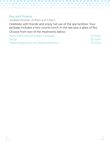#### Fizz with Friends

Available between 10.30am and 5.00pm

Celebrate with friends and enjoy full use of the spa facilities. Your package includes a two-course lunch in the spa plus a glass of fizz.

Choose from two of the treatments below:

| Back, Neck and Shoulder massage             | 25 mins |
|---------------------------------------------|---------|
| Facial                                      | 25 mins |
| <b>Express Manicure or Express Pedicure</b> | 25 mins |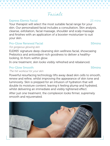## Facials

### Express Elemis Facial 25 mins

Your therapist will select the most suitable facial range for your skin. Our personalized facial includes a consultation, Skin analysis, cleanse, exfoliation, facial massage, shoulder and scalp massage and finishes with an application of a booster moisturizer to suit your skin.

### Pro-Glow Renewal Facial 50mins

#### For gorgeous glowing skin

ELEMIS' signature deep cleansing skin wellness facial, showcasing Prebiotics and antioxidant-rich goodness to deliver a healthylooking, lit-from-within glow.

In one treatment, skin looks visibly refreshed and rebalanced.

### Pro-Glow Smooth 50mins

The hiit workout for your skin

Powerful resurfacing technology lifts away dead skin cells to smooth, renew and refine, whilst improving the appearance of skin tone and luminosity. Skin is prepped for an infusion of hydration that will double its moisture content, leaving it feeling plump and hydrated, whilst delivering an immediate and visibly tightened effect.

After just one treatment, the complexion looks firmer, supremely smooth and rejuvenated.

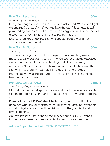#### Pro-Glow Resurface 50mins Resurfacing for stunningly smooth skin

Purify and brighten as skin's texture is transformed. With a spotlight on enlarged pores, blemishes, and blackheads, this unique facial powered by patented Tri-Enzyme technology minimises the look of uneven tone, texture, fine lines, and pigmentation.

Dull, uneven, tired-looking skin will appear instantly brighter, smoother, and renewed.

### Pro-Glow Brilliance 50mins

Your recipe for radiance

Turn up the brightness with our triple cleanse, melting away make-up, daily pollutants, and grime. Gentle resurfacing dissolves away dead skin cells to reveal healthy and clearer looking skin.

A fusion of Superfoods and antioxidant-rich facial oils plump the skin with moisture, whilst helping to nourish and protect.

Immediately revealing an outdoor-fresh glow, skin is left feeling fresh, radiant and healthy.

### Pro-Glow Genius Facial 75mins

Your line-fighting superhero facial

Clinically proven intelligent skincare and our triple level approach to skin hydration results in transformative results for younger-looking skin.

Powered by our ULTRA-SMART technology, with a spotlight on deep-set wrinkles for maximum, multi-faceted facial rejuvenation and skin hydration, skin will be visibly smoother, resilient and firmer-looking.

An unsurpassed, line-fighting facial experience, skin will appear immediately firmer and more radiant after just one treatment.

### Add on Supercharged with ELEMIS' BIOTEC for £10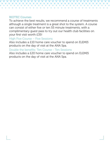### BIOTEC Courses

To achieve the best results, we recommend a course of treatments although a single treatment is a great shot to the system. A course can consist of either five or ten 55 minute treatments, with a complimentary guest pass to try out our health club facilities on your first visit worth £35!

### High Five Course – Five Sessions

Also includes a £10 home care voucher to spend on ELEMIS products on the day of visit at the ANA Spa.

### Double the benefits: Ten Course - Ten Sessions

Also includes a £20 home care voucher to spend on ELEMIS products on the day of visit at the ANA Spa.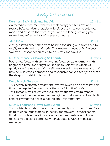## Body Experiences

#### De-stress Back Neck and Shoulder 25 mins

An incredible treatment that will melt away your tensions and restore balance. Your therapist will select essential oils to suit your mood and dissolve the stresses you've been facing, leaving you relaxed and refreshed for whatever comes next.

#### ANA Relax 55 mins

A truly blissful experience from head to toe using our aroma oils to totally relax the mind and body. This treatment uses only the best Swedish massage technique's to de-stress and unwind.

### ELEMIS Intensely Cleansing Salt Scrub 45 mins

Boost your body with an invigorating body scrub treatment with fragranced Lime and Ginger or Frangipani salt scrub which will gently slough away dead skin cells, encouraging the regeneration of new cells. It leaves a smooth and responsive canvas, ready to absorb the deeply nourishing body oil.

#### **Deep Muscle Release 65 mins**

This deeply restorative treatment involves Swedish and crossmuscle fibre massage techniques to soothe an aching tired body. Your therapist will select essential oils for the maximum impact – such as black pepper, rosemary and ginger to disperse built-up lactic acid or lavender to act as a natural anti-inflammatory.

#### **ELEMIS Thousand Flower Detox Wrap 65 mins**

This nutrient-rich detox wrap uses the deeply nourishing Green Tea Balm to encourage super skin health and powerful detoxification. It helps stimulate the elimination process and restore equilibrium to leave you feeling completely reinvigorated. With a mini scalp massage.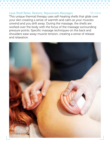#### Lava Shell Relax, Restore, Rejuvenate Massages 55 mins

This unique thermal therapy uses self-heating shells that glide over your skin creating a sense of warmth and calm as your muscles unwind and you drift away. During the massage, the shells are worked over the body with the focus of the massage surrounding pressure points. Specific massage techniques on the back and shoulders ease away muscle tension; creating a sense of release and relaxation.

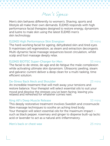# Men's Space

Men's skin behaves differently to women's. Shaving, sports and lifestyle all make their own demands. ELEMIS responds with high performance facial therapies designed to restore energy, dynamism and lustre to male skin using the latest ELEMIS men's skin technology.

### ELEMIS High Performance Skin Energiser 1986 1997 55 mins

The hard-working facial for ageing, dehydrated skin and tired eyes. It maximises cell regeneration, as steam and extraction decongests. Multi-dynamic facial massage sequences boost circulation, whilst scalp and foot massage deeply relax.

#### ELEMIS BIOTEC Super-Charger for Men 55 mins

The facial to de-stress, de-age and de-fatigue the male complexion while activating ultimate skin dynamism. Ultrasonic peeling, steam and galvanic current deliver a deep clean for a multi-tasking, time efficient solution.

#### De-Stress Back Neck and Shoulder 25 mins

An incredible treatment that will melt away your tensions and restore balance. Your therapist will select essential oils to suit your mood and dissolve the stresses you've been facing, leaving you relaxed and refreshed for whatever comes next.

### King Alf's Deep Muscle Release 65 mins

This deeply restorative treatment involves Swedish and crossmuscle fibre massage techniques to soothe an aching tired body. Your therapist will select essential oils for the maximum impact – such as black pepper, rosemary and ginger to disperse built-up lactic acid or lavender to act as a natural anti-inflammatory.

#### Men's back or chest wax 25 mins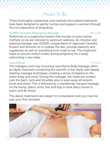## Mums To Be

These thoroughly researched, and carefully formulated treatments have been designed to gently nurture and support a woman through the rich experience of pregnancy.

#### ELEMIS Peaceful Pregnancy Massage 85 mins

Performed on a supportive bolster that moulds to every bump, mothers-to-be are restored to optimum wellness. An intuitive and relaxing massage uses ELEMIS' unique blend of Japanese Camellia flowers and Almond oil to hydrate the skin, provide elasticity and suppleness as well as nourishing from head to toe. This treatment helps to prevent stretch marks during pregnancy for a body welcoming a new baby.

### Lava Mama 75 mins

The indulgent and truly nurturing Lava Mama Body Massage offers an idyllic treatment combining the warmth of the shells with deeply relaxing massage techniques, creating a sense of balance to the entire body and mind. During the massage, the shells are worked over the back, neck and shoulder area to ease away all tension, knots and stress. This is followed by a wonderfully tranquil massage on the bump, palms, arms, feet and legs in slow deep moves to warm and de-stress.

The above treatments are subject to consultation and you must be past your first trimester.

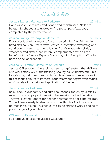## Hands & Feet

### Jessica Express Manicure or Pedicure 25 mins

Hands and cuticles are conditioned and moisturised. Nails are beautifully shaped and treated with a prescriptive basecoat, completed by the perfect polish.

#### **Jessica Luxury Prescriptive Manicure** 655 mins

Enjoy a colourful moment to be pampered with the ultimate in hand and nail care treats from Jessica. A complete exfoliating and conditioning hand treatment, leaving hands noticeably silkier, smoother and firmer than before, complemented with all the benefits of the Jessica Express Manicure, with the option of having polish or gel application.

### **Jessica GELeration Manicure or Pedicure** 1986 100 mins

Jessica GELeration is the exciting new soft gel system that delivers a flawless finish whilst maintaining healthy nails underneath. This long-lasting gel dries in seconds… so take time and select one of this seasons colours to impress. Your treatment begins with cuticle work, a tidy of the nails and application of the gel.

### **Jessica Luxury Pedicure** 75 mins

Relax back in our comfy pedicure spa thrones and enjoy Jessica's most luxurious Spa pedicure with the luxurious added benefits of Thermal Heated Booties for deeper penetration of oils and creams. You will leave ready to strut your stuff with lots of colour and a bounce in your step. This pedicure can be finished with a choice of polish or gel of your choice.

### GELeration Removal and the contract of the contract of the contract of the contract of the contract of the contract of the contract of the contract of the contract of the contract of the contract of the contract of the con

Full removal of existing Jessica GELeration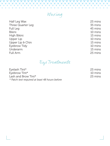# Waxing

'∨ V 'v Ÿ V ひん

| Half Leg Wax      | 25 mins |
|-------------------|---------|
| Three Quarter Leg | 35 mins |
| Full Leg          | 45 mins |
| Bikini            | 10 mins |
| High Bikini       | 15 mins |
| Upper Lip         | 10 mins |
| Upper Lip & Chin  | 15 mins |
| Eyebrow Tidy      | 10 mins |
| Underarm          | 15 mins |
| Full Arm          | 25 mins |
|                   |         |

Eye Treatments

| Eyelash Tint*                                  | 25 mins |
|------------------------------------------------|---------|
| Eyebrow Tint*                                  | 10 mins |
| Lash and Brow Tint*                            | 25 mins |
| * Patch test required at least 48 hours before |         |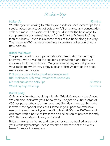## Make-Up

#### Make-Up 55 mins

Whether you're looking to refresh your style or need expert tips for a special occasion, a touch of colour or full on glamour, a consultation with our make-up experts will help you discover the best ways to complement your natural beauty. You will not only leave looking fabulous but will even learn some tricks of the trade along the way. Then receive £10 worth of vouchers to create a collection of your new colours.

#### Bridal Makeover

The perfect start to your perfect day. Our team start by getting to know you with a visit to the spa for a consultation and then we choose a look that suits you. On your special day we will prepare your make up whilst you enjoy a glass of fizz. As part of the bridal make over we provide;

Full colour consultation, makeup lesson and trial makeover £50 retail voucher to spend on Mii makeup at the ANA Spa 55 mins Wedding day make up 55 mins

#### Bridal party

Only available when booking with the Bridal Makeover- see above. We can also look after your bridal party. For just an extra charge of £30 per person they too can have wedding day make up. To make it even more special, book our GlamourEyes Space for exclusive use on the morning of your wedding from 8.00am – 10.00am and celebrate with a bottle of Prosecco and selection of pastries for only £85. Start your day in luxury and style!

Bridal make up packages and hen parties can be booked as part of your wedding package. Please speak to a member of the events team for more information.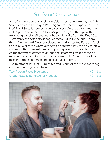## The Rasul Experience

A modern twist on this ancient Arabian thermal treatment, the ANA Spa have created a unique Rasul signature thermal experience. The Mud Rasul Suite is perfect to enjoy as a couple or as a fun treatment with a group of friends, up to 4 people. Start your therapy with exfoliating the skin all over your body with salts from the Dead Sea. Then apply the soft detoxifying Moroccan Mud in the anti-Room – this is the fun part! Once enveloped in mud, enter the Rasul, sit back and relax whilst the warm dry heat and steam allow the clay to draw out impurities to reveal new and glowing skin from head to toe. As the treatment comes to an end the steam will disappear to be replaced by a soothing, warm rain shower… don't be surprised if you relax into the experience and lose all track of time.

The treatment lasts for 40 minutes and is one of the most appealing spa treatments you can have.

Two Person Rasul Experience **40 mins** Group Rasul Experience for 4 people 40 mins

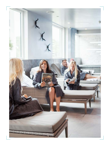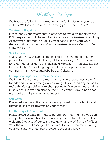# Visiting The Spa

We hope the following information is useful in planning your stay with us. We look forward to welcoming you to the ANA SPA.

#### Treatment Bookings

Please book your treatments in advance to avoid disappointment. Full pre-payment will be required to secure your treatment booking. All treatment timings include a verbal consultation with your therapist, time to change and some treatments may also include showering time.

#### SPA Facilities

Guests to ANA SPA can use the facilities for a charge of £25 per person for a hotel resident, subject to availability. £35 per person for a non hotel resident, only available Monday – Thursday, subject to availability. Pre booking required. Four hour pass, includes a complimentary towel and robe hire and slippers.

#### Group Bookings (two or more people)

We know that some of the most memorable experiences are with friends and we welcome group bookings. If you need any extras to make the day special – from champagne to flowers – please call us in advance and we can arrange them. To confirm group bookings, we require a full pre-payment deposit.

### Gift Cards

Please ask our reception to arrange a gift card for your family and friends to select treatments as your present.

### On the Day of Treatment

Please arrive at least 15 minutes before your treatment so you can complete a consultation form prior to your treatment. You will be welcomed by one of our team and given a tour of the spa facilities. Your therapist will specify what to wear for your treatment during your consultation and may provide robes and slippers.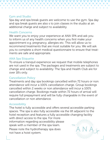### Gym and Studio

Spa day and spa break guests are welcome to use the gym. Spa day and spa break guests are also s to join classes in the studio at an additional charge and subject to availability.

#### Health Concerns

We want you to enjoy your experience at ANA SPA and ask you to inform us of any health concerns when you first make your appointment e.g. pregnancy, allergies etc. This will allow us to recommend treatments that are most suitable for you. We will ask you to complete a short medical questionnaire to ensure that treatments are safe and appropriate.

### ANA Spa Etiquette

To ensure a tranquil experience we request that mobile telephones are not used in the spa. The packages and treatments are subject to change and subject to availability. The Spa and Health Club are for over 18's only.

### Cancellation Policy

Treatments and day spa bookings cancelled within 72 hours or non attendance will incur a 100% cancellation charge. Group bookings cancelled within 2 weeks or non attendance will incur a 100% cancellation charge. Bookings made within 72 hours of arrival will require full prepayment and will be fully chargeable in the event of cancellation or non attendance.

### **Accessibility**

The hotel is fully accessible and offers several accessible parking spaces. The spa is also fully accessible via the lift adjacent to the hotel reception and features a fully accessible changing facility

with direct access to the spa. For more information regarding accessibility please speak with a member of the spa team. Please note the hydrotherapy spa does not have a hoist system.